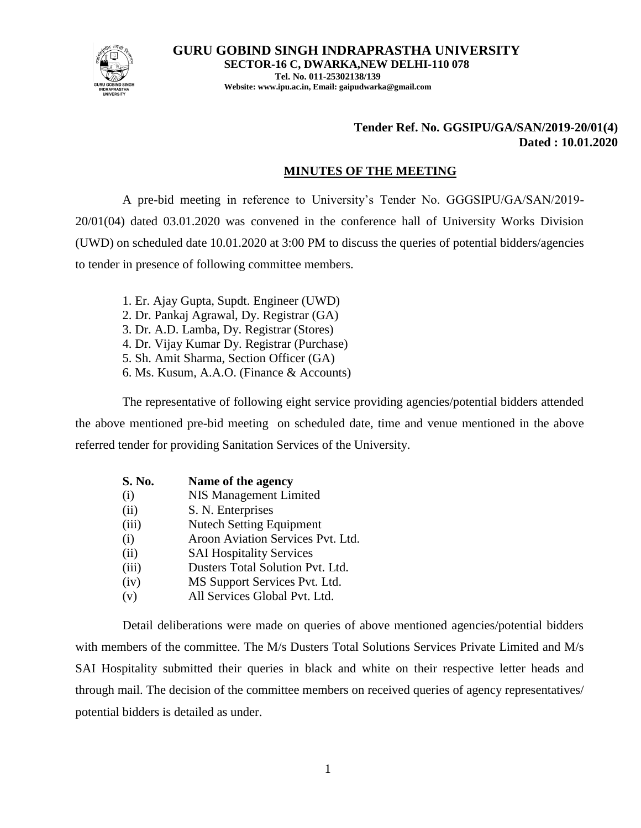

**GURU GOBIND SINGH INDRAPRASTHA UNIVERSITY SECTOR-16 C, DWARKA,NEW DELHI-110 078 Tel. No. 011-25302138/139 Website: www.ipu.ac.in, Email: gaipudwarka@gmail.com**

### **Tender Ref. No. GGSIPU/GA/SAN/2019-20/01(4) Dated : 10.01.2020**

#### **MINUTES OF THE MEETING**

A pre-bid meeting in reference to University's Tender No. GGGSIPU/GA/SAN/2019- 20/01(04) dated 03.01.2020 was convened in the conference hall of University Works Division (UWD) on scheduled date 10.01.2020 at 3:00 PM to discuss the queries of potential bidders/agencies to tender in presence of following committee members.

- 1. Er. Ajay Gupta, Supdt. Engineer (UWD)
- 2. Dr. Pankaj Agrawal, Dy. Registrar (GA)
- 3. Dr. A.D. Lamba, Dy. Registrar (Stores)
- 4. Dr. Vijay Kumar Dy. Registrar (Purchase)
- 5. Sh. Amit Sharma, Section Officer (GA)
- 6. Ms. Kusum, A.A.O. (Finance & Accounts)

The representative of following eight service providing agencies/potential bidders attended the above mentioned pre-bid meeting on scheduled date, time and venue mentioned in the above referred tender for providing Sanitation Services of the University.

| S. No. | Name of the agency                |
|--------|-----------------------------------|
| (i)    | NIS Management Limited            |
| (ii)   | S. N. Enterprises                 |
| (iii)  | <b>Nutech Setting Equipment</b>   |
| (i)    | Aroon Aviation Services Pvt. Ltd. |
| (ii)   | <b>SAI Hospitality Services</b>   |
| (iii)  | Dusters Total Solution Pvt. Ltd.  |
| (iv)   | MS Support Services Pvt. Ltd.     |
| (v)    | All Services Global Pvt. Ltd.     |

Detail deliberations were made on queries of above mentioned agencies/potential bidders with members of the committee. The M/s Dusters Total Solutions Services Private Limited and M/s SAI Hospitality submitted their queries in black and white on their respective letter heads and through mail. The decision of the committee members on received queries of agency representatives/ potential bidders is detailed as under.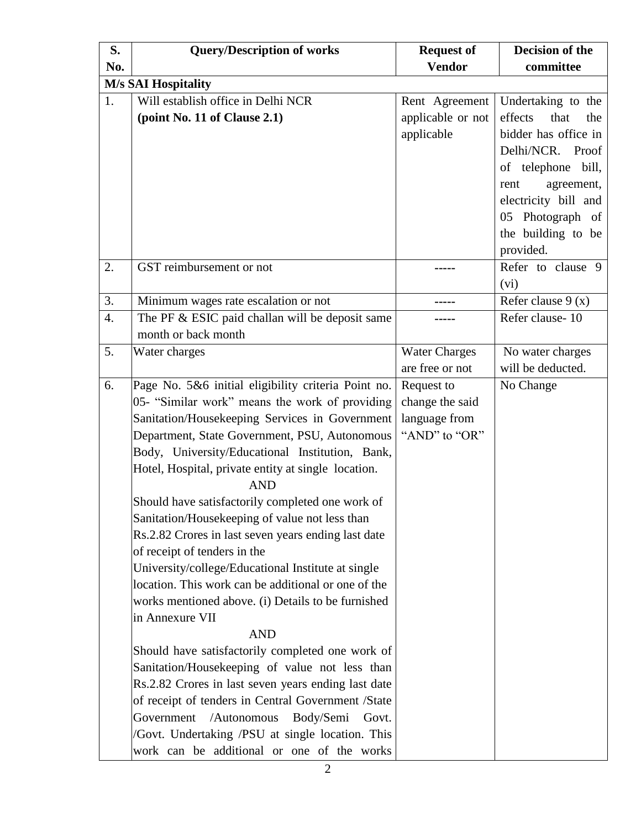| S.  | <b>Query/Description of works</b>                                                                                                                                                                                                                                                                                                                                                                                                                                                                                                                                                                                                                                                                                                                                                                                                                                                                                                                                                                                                                                                                         | <b>Request of</b>                                               | Decision of the                                                                                                                                |
|-----|-----------------------------------------------------------------------------------------------------------------------------------------------------------------------------------------------------------------------------------------------------------------------------------------------------------------------------------------------------------------------------------------------------------------------------------------------------------------------------------------------------------------------------------------------------------------------------------------------------------------------------------------------------------------------------------------------------------------------------------------------------------------------------------------------------------------------------------------------------------------------------------------------------------------------------------------------------------------------------------------------------------------------------------------------------------------------------------------------------------|-----------------------------------------------------------------|------------------------------------------------------------------------------------------------------------------------------------------------|
| No. |                                                                                                                                                                                                                                                                                                                                                                                                                                                                                                                                                                                                                                                                                                                                                                                                                                                                                                                                                                                                                                                                                                           | <b>Vendor</b>                                                   | committee                                                                                                                                      |
|     | <b>M/s SAI Hospitality</b>                                                                                                                                                                                                                                                                                                                                                                                                                                                                                                                                                                                                                                                                                                                                                                                                                                                                                                                                                                                                                                                                                |                                                                 |                                                                                                                                                |
| 1.  | Will establish office in Delhi NCR<br>(point No. 11 of Clause 2.1)                                                                                                                                                                                                                                                                                                                                                                                                                                                                                                                                                                                                                                                                                                                                                                                                                                                                                                                                                                                                                                        | Rent Agreement<br>applicable or not<br>applicable               | Undertaking to the<br>effects<br>that<br>the<br>bidder has office in                                                                           |
|     |                                                                                                                                                                                                                                                                                                                                                                                                                                                                                                                                                                                                                                                                                                                                                                                                                                                                                                                                                                                                                                                                                                           |                                                                 | Delhi/NCR. Proof<br>of telephone<br>bill,<br>agreement,<br>rent<br>electricity bill and<br>05 Photograph of<br>the building to be<br>provided. |
| 2.  | GST reimbursement or not                                                                                                                                                                                                                                                                                                                                                                                                                                                                                                                                                                                                                                                                                                                                                                                                                                                                                                                                                                                                                                                                                  |                                                                 | Refer to clause 9<br>(vi)                                                                                                                      |
| 3.  | Minimum wages rate escalation or not                                                                                                                                                                                                                                                                                                                                                                                                                                                                                                                                                                                                                                                                                                                                                                                                                                                                                                                                                                                                                                                                      |                                                                 | Refer clause $9(x)$                                                                                                                            |
| 4.  | The PF & ESIC paid challan will be deposit same<br>month or back month                                                                                                                                                                                                                                                                                                                                                                                                                                                                                                                                                                                                                                                                                                                                                                                                                                                                                                                                                                                                                                    |                                                                 | Refer clause-10                                                                                                                                |
| 5.  | Water charges                                                                                                                                                                                                                                                                                                                                                                                                                                                                                                                                                                                                                                                                                                                                                                                                                                                                                                                                                                                                                                                                                             | <b>Water Charges</b><br>are free or not                         | No water charges<br>will be deducted.                                                                                                          |
| 6.  | Page No. 5&6 initial eligibility criteria Point no.<br>05- "Similar work" means the work of providing<br>Sanitation/Housekeeping Services in Government<br>Department, State Government, PSU, Autonomous<br>Body, University/Educational Institution, Bank,<br>Hotel, Hospital, private entity at single location.<br><b>AND</b><br>Should have satisfactorily completed one work of<br>Sanitation/Housekeeping of value not less than<br>Rs.2.82 Crores in last seven years ending last date<br>of receipt of tenders in the<br>University/college/Educational Institute at single<br>location. This work can be additional or one of the<br>works mentioned above. (i) Details to be furnished<br>in Annexure VII<br><b>AND</b><br>Should have satisfactorily completed one work of<br>Sanitation/Housekeeping of value not less than<br>Rs.2.82 Crores in last seven years ending last date<br>of receipt of tenders in Central Government /State<br>Government<br>/Autonomous<br>Body/Semi<br>Govt.<br>/Govt. Undertaking /PSU at single location. This<br>work can be additional or one of the works | Request to<br>change the said<br>language from<br>"AND" to "OR" | No Change                                                                                                                                      |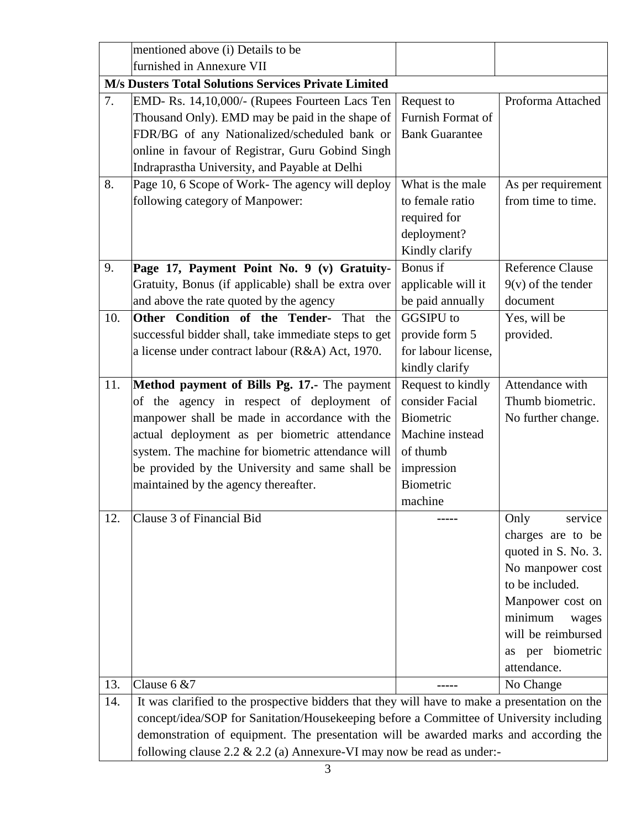|     | mentioned above (i) Details to be                                                             |                       |                         |  |
|-----|-----------------------------------------------------------------------------------------------|-----------------------|-------------------------|--|
|     | furnished in Annexure VII                                                                     |                       |                         |  |
|     | M/s Dusters Total Solutions Services Private Limited                                          |                       |                         |  |
| 7.  | EMD- Rs. 14,10,000/- (Rupees Fourteen Lacs Ten                                                | Request to            | Proforma Attached       |  |
|     | Thousand Only). EMD may be paid in the shape of                                               | Furnish Format of     |                         |  |
|     | FDR/BG of any Nationalized/scheduled bank or                                                  | <b>Bank Guarantee</b> |                         |  |
|     | online in favour of Registrar, Guru Gobind Singh                                              |                       |                         |  |
|     | Indraprastha University, and Payable at Delhi                                                 |                       |                         |  |
| 8.  | Page 10, 6 Scope of Work- The agency will deploy                                              | What is the male      | As per requirement      |  |
|     | following category of Manpower:                                                               | to female ratio       | from time to time.      |  |
|     |                                                                                               | required for          |                         |  |
|     |                                                                                               | deployment?           |                         |  |
|     |                                                                                               | Kindly clarify        |                         |  |
| 9.  | Page 17, Payment Point No. 9 (v) Gratuity-                                                    | Bonus if              | <b>Reference Clause</b> |  |
|     | Gratuity, Bonus (if applicable) shall be extra over                                           | applicable will it    | $9(v)$ of the tender    |  |
|     | and above the rate quoted by the agency                                                       | be paid annually      | document                |  |
| 10. | Other Condition of the Tender- That the                                                       | <b>GGSIPU</b> to      | Yes, will be            |  |
|     | successful bidder shall, take immediate steps to get                                          | provide form 5        | provided.               |  |
|     | a license under contract labour (R&A) Act, 1970.                                              | for labour license,   |                         |  |
|     |                                                                                               | kindly clarify        |                         |  |
| 11. | Method payment of Bills Pg. 17.- The payment                                                  | Request to kindly     | Attendance with         |  |
|     | of the agency in respect of deployment of                                                     | consider Facial       | Thumb biometric.        |  |
|     | manpower shall be made in accordance with the                                                 | Biometric             | No further change.      |  |
|     | actual deployment as per biometric attendance                                                 | Machine instead       |                         |  |
|     | system. The machine for biometric attendance will                                             | of thumb              |                         |  |
|     | be provided by the University and same shall be                                               | impression            |                         |  |
|     | maintained by the agency thereafter.                                                          | Biometric             |                         |  |
|     |                                                                                               | machine               |                         |  |
| 12. | Clause 3 of Financial Bid                                                                     |                       | Only<br>service         |  |
|     |                                                                                               |                       | charges are to be       |  |
|     |                                                                                               |                       | quoted in S. No. 3.     |  |
|     |                                                                                               |                       | No manpower cost        |  |
|     |                                                                                               |                       | to be included.         |  |
|     |                                                                                               |                       | Manpower cost on        |  |
|     |                                                                                               |                       | minimum<br>wages        |  |
|     |                                                                                               |                       | will be reimbursed      |  |
|     |                                                                                               |                       | per biometric<br>as     |  |
|     |                                                                                               |                       | attendance.             |  |
| 13. | Clause $6 & 87$                                                                               |                       | No Change               |  |
| 14. | It was clarified to the prospective bidders that they will have to make a presentation on the |                       |                         |  |
|     | concept/idea/SOP for Sanitation/Housekeeping before a Committee of University including       |                       |                         |  |
|     | demonstration of equipment. The presentation will be awarded marks and according the          |                       |                         |  |
|     | following clause 2.2 & 2.2 (a) Annexure-VI may now be read as under:-                         |                       |                         |  |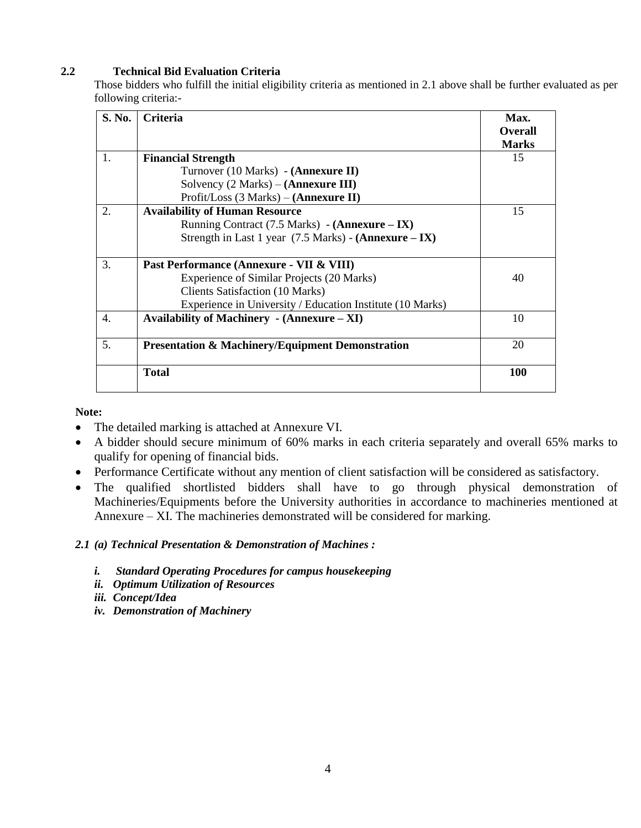#### **2.2 Technical Bid Evaluation Criteria**

Those bidders who fulfill the initial eligibility criteria as mentioned in 2.1 above shall be further evaluated as per following criteria:-

| <b>S. No.</b> | <b>Criteria</b>                                                 | Max.<br><b>Overall</b><br><b>Marks</b> |
|---------------|-----------------------------------------------------------------|----------------------------------------|
| 1.            | <b>Financial Strength</b>                                       | 15                                     |
|               | Turnover (10 Marks) - ( <b>Annexure II</b> )                    |                                        |
|               | Solvency $(2 Marks) - (Annexure III)$                           |                                        |
|               | Profit/Loss $(3 Marks) - (Annexure II)$                         |                                        |
| 2.            | <b>Availability of Human Resource</b>                           | 15                                     |
|               | Running Contract $(7.5 \text{ Marks})$ - (Annexure – IX)        |                                        |
|               | Strength in Last 1 year $(7.5 \text{ Marks})$ - (Annexure – IX) |                                        |
|               |                                                                 |                                        |
| 3.            | Past Performance (Annexure - VII & VIII)                        |                                        |
|               | Experience of Similar Projects (20 Marks)                       | 40                                     |
|               | <b>Clients Satisfaction (10 Marks)</b>                          |                                        |
|               | Experience in University / Education Institute (10 Marks)       |                                        |
| 4.            | Availability of Machinery $\text{-}$ (Annexure – XI)            | 10                                     |
| 5.            | <b>Presentation &amp; Machinery/Equipment Demonstration</b>     | 20                                     |
|               |                                                                 |                                        |
|               | <b>Total</b>                                                    | 100                                    |

**Note:**

- The detailed marking is attached at Annexure VI.
- A bidder should secure minimum of 60% marks in each criteria separately and overall 65% marks to qualify for opening of financial bids.
- Performance Certificate without any mention of client satisfaction will be considered as satisfactory.
- The qualified shortlisted bidders shall have to go through physical demonstration of Machineries/Equipments before the University authorities in accordance to machineries mentioned at Annexure – XI. The machineries demonstrated will be considered for marking.

#### *2.1 (a) Technical Presentation & Demonstration of Machines :*

- *i. Standard Operating Procedures for campus housekeeping*
- *ii. Optimum Utilization of Resources*
- *iii. Concept/Idea*
- *iv. Demonstration of Machinery*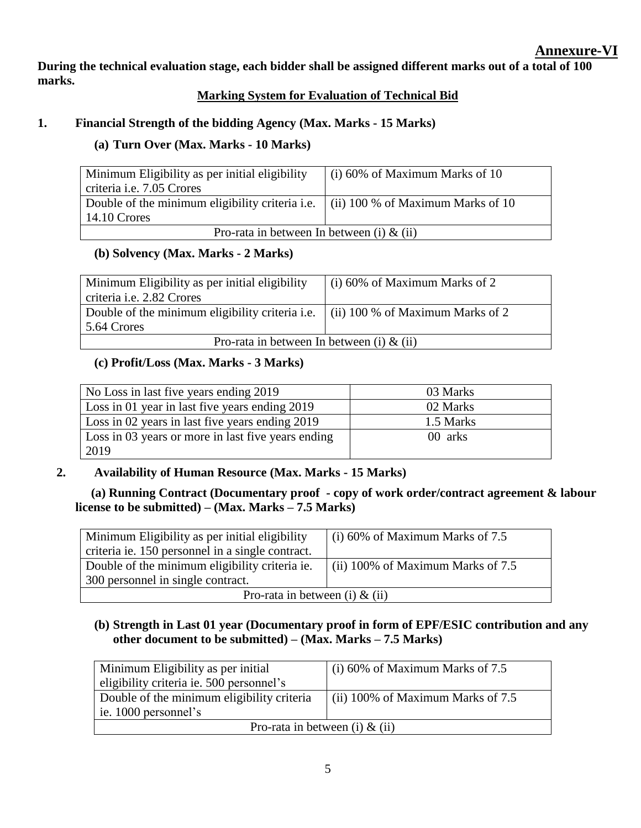**During the technical evaluation stage, each bidder shall be assigned different marks out of a total of 100 marks.**

# **Marking System for Evaluation of Technical Bid**

# **1. Financial Strength of the bidding Agency (Max. Marks - 15 Marks)**

# **(a) Turn Over (Max. Marks - 10 Marks)**

| Minimum Eligibility as per initial eligibility                                           | (i) 60% of Maximum Marks of 10 |  |
|------------------------------------------------------------------------------------------|--------------------------------|--|
| criteria <i>i.e.</i> 7.05 Crores                                                         |                                |  |
| Double of the minimum eligibility criteria i.e. $\int$ (ii) 100 % of Maximum Marks of 10 |                                |  |
| 14.10 Crores                                                                             |                                |  |
| Pro-rata in between In between (i) $\&$ (ii)                                             |                                |  |

# **(b) Solvency (Max. Marks - 2 Marks)**

| Minimum Eligibility as per initial eligibility                                          | $(i)$ 60% of Maximum Marks of 2 |  |
|-----------------------------------------------------------------------------------------|---------------------------------|--|
| criteria <i>i.e.</i> 2.82 Crores                                                        |                                 |  |
| Double of the minimum eligibility criteria i.e. $\mid$ (ii) 100 % of Maximum Marks of 2 |                                 |  |
| 5.64 Crores                                                                             |                                 |  |
| Pro-rata in between In between (i) $\&$ (ii)                                            |                                 |  |

# **(c) Profit/Loss (Max. Marks - 3 Marks)**

| No Loss in last five years ending 2019             | 03 Marks  |
|----------------------------------------------------|-----------|
| Loss in 01 year in last five years ending 2019     | 02 Marks  |
| Loss in 02 years in last five years ending 2019    | 1.5 Marks |
| Loss in 03 years or more in last five years ending | 00 arks   |
| 2019                                               |           |

# **2. Availability of Human Resource (Max. Marks - 15 Marks)**

 **(a) Running Contract (Documentary proof - copy of work order/contract agreement & labour license to be submitted) – (Max. Marks – 7.5 Marks)**

| Minimum Eligibility as per initial eligibility   | $(i)$ 60% of Maximum Marks of 7.5         |  |
|--------------------------------------------------|-------------------------------------------|--|
|                                                  |                                           |  |
| criteria ie. 150 personnel in a single contract. |                                           |  |
|                                                  |                                           |  |
| Double of the minimum eligibility criteria ie.   | $\vert$ (ii) 100% of Maximum Marks of 7.5 |  |
|                                                  |                                           |  |
| 300 personnel in single contract.                |                                           |  |
|                                                  |                                           |  |
| Pro-rata in between (i) $\&$ (ii)                |                                           |  |
|                                                  |                                           |  |

# **(b) Strength in Last 01 year (Documentary proof in form of EPF/ESIC contribution and any other document to be submitted) – (Max. Marks – 7.5 Marks)**

| Minimum Eligibility as per initial         | $(i)$ 60% of Maximum Marks of 7.5   |  |
|--------------------------------------------|-------------------------------------|--|
| eligibility criteria ie. 500 personnel's   |                                     |  |
| Double of the minimum eligibility criteria | (ii) 100% of Maximum Marks of $7.5$ |  |
| ie. 1000 personnel's                       |                                     |  |
| Pro-rata in between (i) $\&$ (ii)          |                                     |  |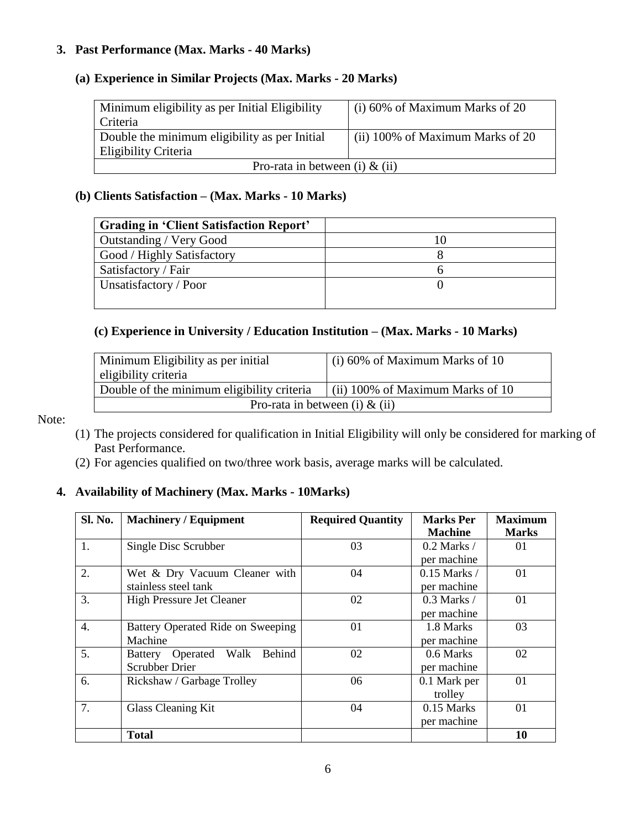### **3. Past Performance (Max. Marks - 40 Marks)**

# **(a) Experience in Similar Projects (Max. Marks - 20 Marks)**

| Minimum eligibility as per Initial Eligibility | $(i)$ 60% of Maximum Marks of 20 |  |
|------------------------------------------------|----------------------------------|--|
| Criteria                                       |                                  |  |
| Double the minimum eligibility as per Initial  | (ii) 100% of Maximum Marks of 20 |  |
| Eligibility Criteria                           |                                  |  |
| Pro-rata in between (i) $\&$ (ii)              |                                  |  |

#### **(b) Clients Satisfaction – (Max. Marks - 10 Marks)**

| <b>Grading in 'Client Satisfaction Report'</b> |  |
|------------------------------------------------|--|
| Outstanding / Very Good                        |  |
| Good / Highly Satisfactory                     |  |
| Satisfactory / Fair                            |  |
| Unsatisfactory / Poor                          |  |
|                                                |  |

# **(c) Experience in University / Education Institution – (Max. Marks - 10 Marks)**

| Minimum Eligibility as per initial                                             | (i) 60% of Maximum Marks of 10 |  |
|--------------------------------------------------------------------------------|--------------------------------|--|
| eligibility criteria                                                           |                                |  |
| Double of the minimum eligibility criteria<br>(ii) 100% of Maximum Marks of 10 |                                |  |
| Pro-rata in between (i) $\&$ (ii)                                              |                                |  |

Note:

- (1) The projects considered for qualification in Initial Eligibility will only be considered for marking of Past Performance.
- (2) For agencies qualified on two/three work basis, average marks will be calculated.

## **4. Availability of Machinery (Max. Marks - 10Marks)**

| Sl. No.          | <b>Machinery / Equipment</b>      | <b>Required Quantity</b> | <b>Marks Per</b> | <b>Maximum</b> |
|------------------|-----------------------------------|--------------------------|------------------|----------------|
|                  |                                   |                          | <b>Machine</b>   | <b>Marks</b>   |
| 1.               | Single Disc Scrubber              | 03                       | $0.2$ Marks /    | 01             |
|                  |                                   |                          | per machine      |                |
| 2.               | Wet & Dry Vacuum Cleaner with     | 04                       | $0.15$ Marks /   | 01             |
|                  | stainless steel tank              |                          | per machine      |                |
| 3.               | <b>High Pressure Jet Cleaner</b>  | 02                       | $0.3$ Marks /    | 01             |
|                  |                                   |                          | per machine      |                |
| $\overline{4}$ . | Battery Operated Ride on Sweeping | 01                       | 1.8 Marks        | 03             |
|                  | Machine                           |                          | per machine      |                |
| 5.               | Battery Operated Walk<br>Behind   | 02                       | 0.6 Marks        | 02             |
|                  | <b>Scrubber Drier</b>             |                          | per machine      |                |
| 6.               | Rickshaw / Garbage Trolley        | 06                       | 0.1 Mark per     | 01             |
|                  |                                   |                          | trolley          |                |
| 7.               | <b>Glass Cleaning Kit</b>         | 04                       | $0.15$ Marks     | 01             |
|                  |                                   |                          | per machine      |                |
|                  | <b>Total</b>                      |                          |                  | 10             |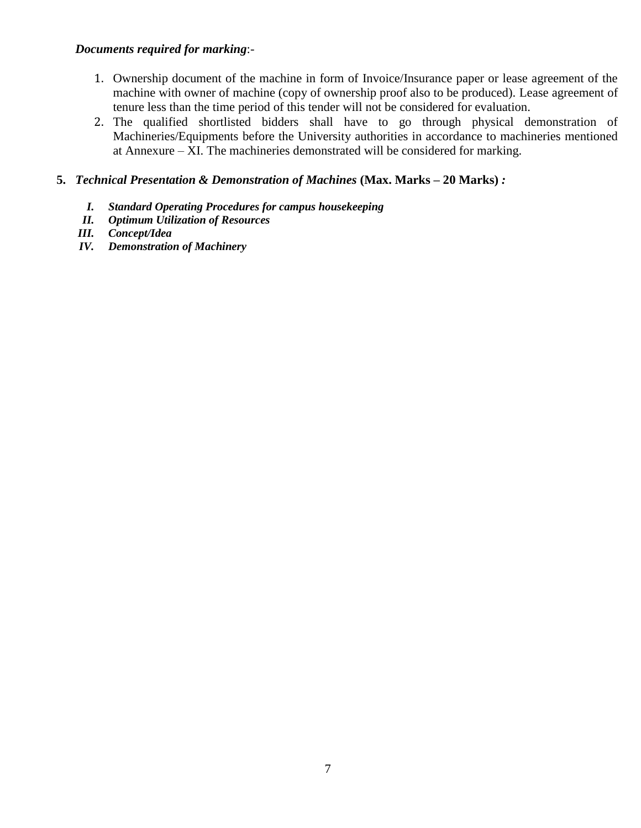## *Documents required for marking*:-

- 1. Ownership document of the machine in form of Invoice/Insurance paper or lease agreement of the machine with owner of machine (copy of ownership proof also to be produced). Lease agreement of tenure less than the time period of this tender will not be considered for evaluation.
- 2. The qualified shortlisted bidders shall have to go through physical demonstration of Machineries/Equipments before the University authorities in accordance to machineries mentioned at Annexure –  $\overline{X}I$ . The machineries demonstrated will be considered for marking.

#### **5.** *Technical Presentation & Demonstration of Machines* **(Max. Marks – 20 Marks)** *:*

- *I. Standard Operating Procedures for campus housekeeping*
- *II. Optimum Utilization of Resources*
- *III. Concept/Idea*
- *IV. Demonstration of Machinery*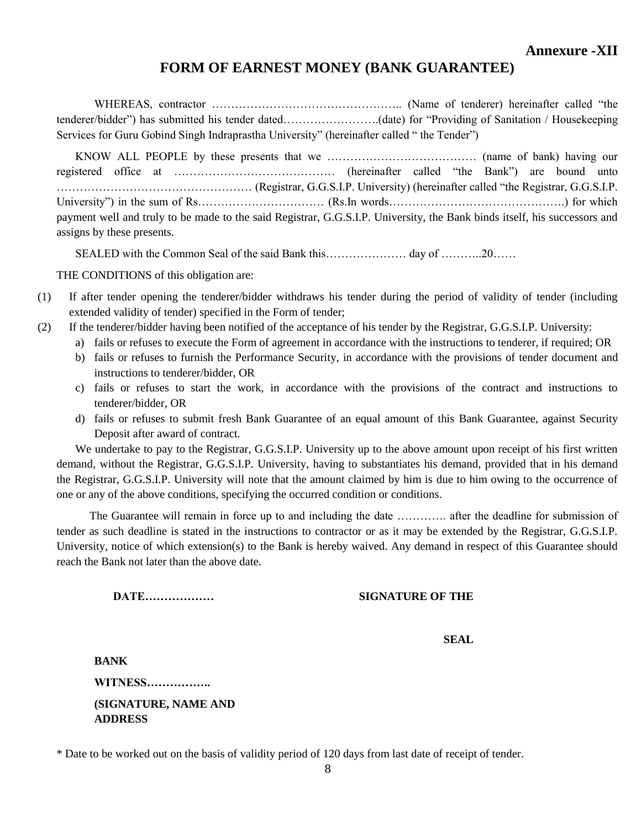# **FORM OF EARNEST MONEY (BANK GUARANTEE)**

WHEREAS, contractor ………………………………………….. (Name of tenderer) hereinafter called "the tenderer/bidder") has submitted his tender dated…………………….(date) for "Providing of Sanitation / Housekeeping Services for Guru Gobind Singh Indraprastha University" (hereinafter called " the Tender")

KNOW ALL PEOPLE by these presents that we ………………………………… (name of bank) having our registered office at …………………………………… (hereinafter called "the Bank") are bound unto …………………………………………… (Registrar, G.G.S.I.P. University) (hereinafter called "the Registrar, G.G.S.I.P. University") in the sum of Rs…………………………… (Rs.In words……………………………………….) for which payment well and truly to be made to the said Registrar, G.G.S.I.P. University, the Bank binds itself, his successors and assigns by these presents.

SEALED with the Common Seal of the said Bank this………………… day of ………..20……

THE CONDITIONS of this obligation are:

- (1) If after tender opening the tenderer/bidder withdraws his tender during the period of validity of tender (including extended validity of tender) specified in the Form of tender;
- (2) If the tenderer/bidder having been notified of the acceptance of his tender by the Registrar, G.G.S.I.P. University:
	- a) fails or refuses to execute the Form of agreement in accordance with the instructions to tenderer, if required; OR
	- b) fails or refuses to furnish the Performance Security, in accordance with the provisions of tender document and instructions to tenderer/bidder, OR
	- c) fails or refuses to start the work, in accordance with the provisions of the contract and instructions to tenderer/bidder, OR
	- d) fails or refuses to submit fresh Bank Guarantee of an equal amount of this Bank Guarantee, against Security Deposit after award of contract.

We undertake to pay to the Registrar, G.G.S.I.P. University up to the above amount upon receipt of his first written demand, without the Registrar, G.G.S.I.P. University, having to substantiates his demand, provided that in his demand the Registrar, G.G.S.I.P. University will note that the amount claimed by him is due to him owing to the occurrence of one or any of the above conditions, specifying the occurred condition or conditions.

The Guarantee will remain in force up to and including the date …………. after the deadline for submission of tender as such deadline is stated in the instructions to contractor or as it may be extended by the Registrar, G.G.S.I.P. University, notice of which extension(s) to the Bank is hereby waived. Any demand in respect of this Guarantee should reach the Bank not later than the above date.

#### **DATE……………… SIGNATURE OF THE**

**SEAL**

**BANK WITNESS…………….. (SIGNATURE, NAME AND ADDRESS**

\* Date to be worked out on the basis of validity period of 120 days from last date of receipt of tender.